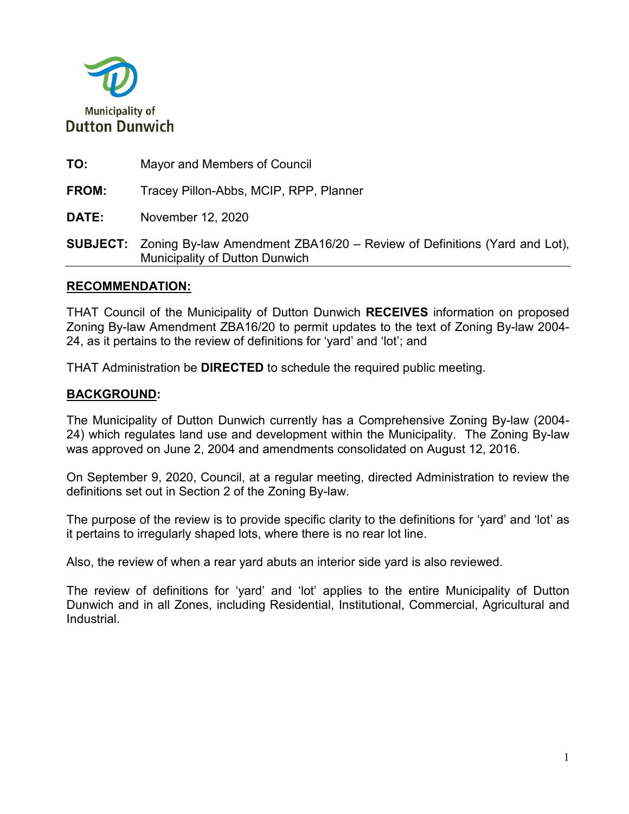

**TO:** Mayor and Members of Council **FROM:** Tracey Pillon-Abbs, MCIP, RPP, Planner **DATE:** November 12, 2020 **SUBJECT:** Zoning By-law Amendment ZBA16/20 – Review of Definitions (Yard and Lot), Municipality of Dutton Dunwich

### **RECOMMENDATION:**

THAT Council of the Municipality of Dutton Dunwich **RECEIVES** information on proposed Zoning By-law Amendment ZBA16/20 to permit updates to the text of Zoning By-law 2004- 24, as it pertains to the review of definitions for 'yard' and 'lot'; and

THAT Administration be **DIRECTED** to schedule the required public meeting.

# **BACKGROUND:**

The Municipality of Dutton Dunwich currently has a Comprehensive Zoning By-law (2004- 24) which regulates land use and development within the Municipality. The Zoning By-law was approved on June 2, 2004 and amendments consolidated on August 12, 2016.

On September 9, 2020, Council, at a regular meeting, directed Administration to review the definitions set out in Section 2 of the Zoning By-law.

The purpose of the review is to provide specific clarity to the definitions for 'yard' and 'lot' as it pertains to irregularly shaped lots, where there is no rear lot line.

Also, the review of when a rear yard abuts an interior side yard is also reviewed.

The review of definitions for 'yard' and 'lot' applies to the entire Municipality of Dutton Dunwich and in all Zones, including Residential, Institutional, Commercial, Agricultural and **Industrial**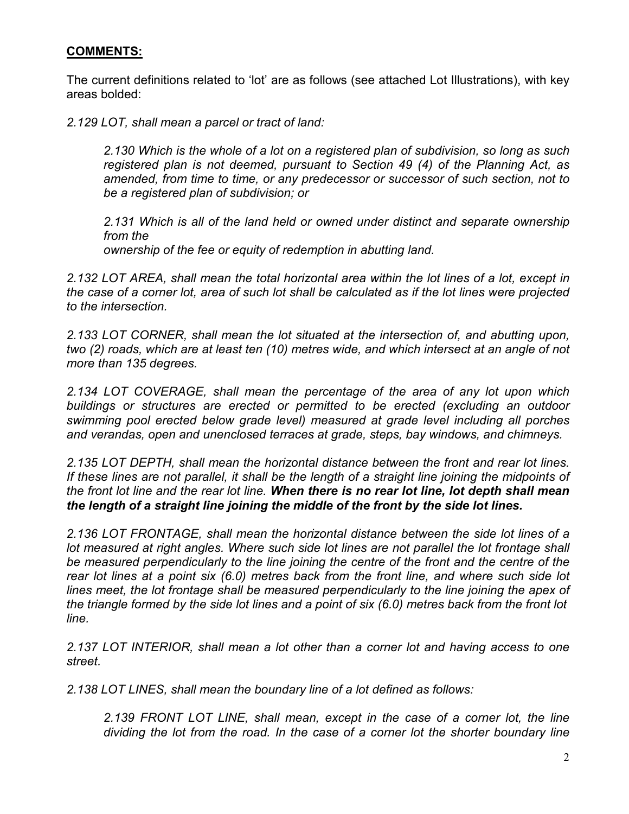# **COMMENTS:**

The current definitions related to 'lot' are as follows (see attached Lot Illustrations), with key areas bolded:

*2.129 LOT, shall mean a parcel or tract of land:*

*2.130 Which is the whole of a lot on a registered plan of subdivision, so long as such registered plan is not deemed, pursuant to Section 49 (4) of the Planning Act, as amended, from time to time, or any predecessor or successor of such section, not to be a registered plan of subdivision; or*

*2.131 Which is all of the land held or owned under distinct and separate ownership from the ownership of the fee or equity of redemption in abutting land.*

*2.132 LOT AREA, shall mean the total horizontal area within the lot lines of a lot, except in the case of a corner lot, area of such lot shall be calculated as if the lot lines were projected to the intersection.* 

*2.133 LOT CORNER, shall mean the lot situated at the intersection of, and abutting upon, two (2) roads, which are at least ten (10) metres wide, and which intersect at an angle of not more than 135 degrees.*

*2.134 LOT COVERAGE, shall mean the percentage of the area of any lot upon which buildings or structures are erected or permitted to be erected (excluding an outdoor swimming pool erected below grade level) measured at grade level including all porches and verandas, open and unenclosed terraces at grade, steps, bay windows, and chimneys.*

*2.135 LOT DEPTH, shall mean the horizontal distance between the front and rear lot lines. If these lines are not parallel, it shall be the length of a straight line joining the midpoints of the front lot line and the rear lot line. When there is no rear lot line, lot depth shall mean the length of a straight line joining the middle of the front by the side lot lines.*

*2.136 LOT FRONTAGE, shall mean the horizontal distance between the side lot lines of a*  lot measured at right angles. Where such side lot lines are not parallel the lot frontage shall *be measured perpendicularly to the line joining the centre of the front and the centre of the rear lot lines at a point six (6.0) metres back from the front line, and where such side lot lines meet, the lot frontage shall be measured perpendicularly to the line joining the apex of the triangle formed by the side lot lines and a point of six (6.0) metres back from the front lot line.*

*2.137 LOT INTERIOR, shall mean a lot other than a corner lot and having access to one street.*

*2.138 LOT LINES, shall mean the boundary line of a lot defined as follows:*

*2.139 FRONT LOT LINE, shall mean, except in the case of a corner lot, the line dividing the lot from the road. In the case of a corner lot the shorter boundary line*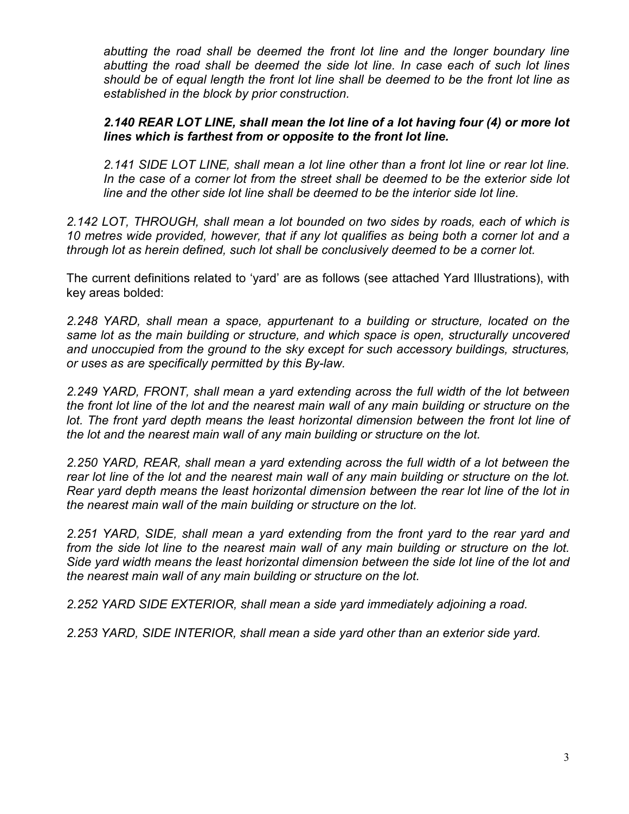*abutting the road shall be deemed the front lot line and the longer boundary line abutting the road shall be deemed the side lot line. In case each of such lot lines should be of equal length the front lot line shall be deemed to be the front lot line as established in the block by prior construction.*

### *2.140 REAR LOT LINE, shall mean the lot line of a lot having four (4) or more lot lines which is farthest from or opposite to the front lot line.*

*2.141 SIDE LOT LINE, shall mean a lot line other than a front lot line or rear lot line. In the case of a corner lot from the street shall be deemed to be the exterior side lot line and the other side lot line shall be deemed to be the interior side lot line.*

*2.142 LOT, THROUGH, shall mean a lot bounded on two sides by roads, each of which is 10 metres wide provided, however, that if any lot qualifies as being both a corner lot and a through lot as herein defined, such lot shall be conclusively deemed to be a corner lot.*

The current definitions related to 'yard' are as follows (see attached Yard Illustrations), with key areas bolded:

*2.248 YARD, shall mean a space, appurtenant to a building or structure, located on the same lot as the main building or structure, and which space is open, structurally uncovered and unoccupied from the ground to the sky except for such accessory buildings, structures, or uses as are specifically permitted by this By-law.*

*2.249 YARD, FRONT, shall mean a yard extending across the full width of the lot between the front lot line of the lot and the nearest main wall of any main building or structure on the*  lot. The front yard depth means the least horizontal dimension between the front lot line of *the lot and the nearest main wall of any main building or structure on the lot.*

2.250 YARD, REAR, shall mean a yard extending across the full width of a lot between the *rear lot line of the lot and the nearest main wall of any main building or structure on the lot. Rear yard depth means the least horizontal dimension between the rear lot line of the lot in the nearest main wall of the main building or structure on the lot.*

*2.251 YARD, SIDE, shall mean a yard extending from the front yard to the rear yard and from the side lot line to the nearest main wall of any main building or structure on the lot. Side yard width means the least horizontal dimension between the side lot line of the lot and the nearest main wall of any main building or structure on the lot.*

*2.252 YARD SIDE EXTERIOR, shall mean a side yard immediately adjoining a road.*

*2.253 YARD, SIDE INTERIOR, shall mean a side yard other than an exterior side yard.*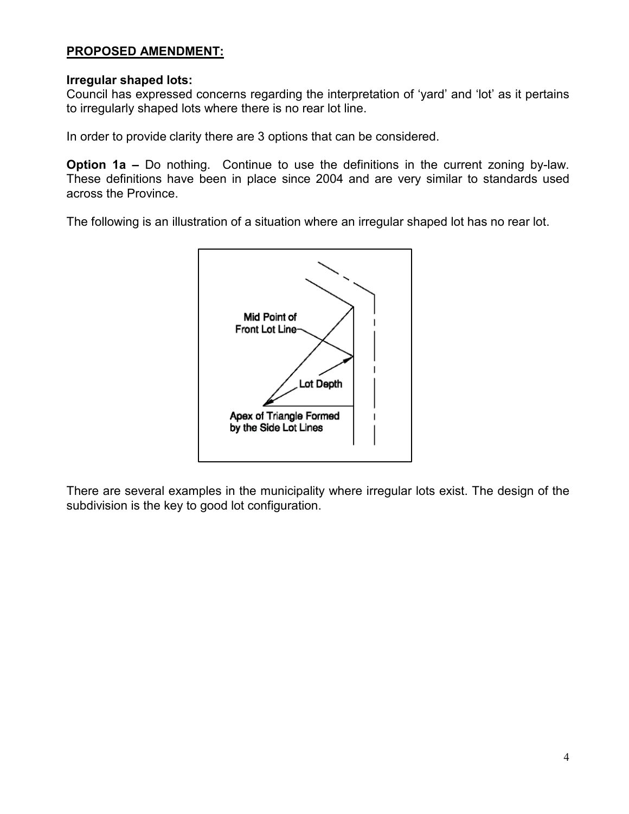# **PROPOSED AMENDMENT:**

#### **Irregular shaped lots:**

Council has expressed concerns regarding the interpretation of 'yard' and 'lot' as it pertains to irregularly shaped lots where there is no rear lot line.

In order to provide clarity there are 3 options that can be considered.

**Option 1a –** Do nothing. Continue to use the definitions in the current zoning by-law. These definitions have been in place since 2004 and are very similar to standards used across the Province.

The following is an illustration of a situation where an irregular shaped lot has no rear lot.



There are several examples in the municipality where irregular lots exist. The design of the subdivision is the key to good lot configuration.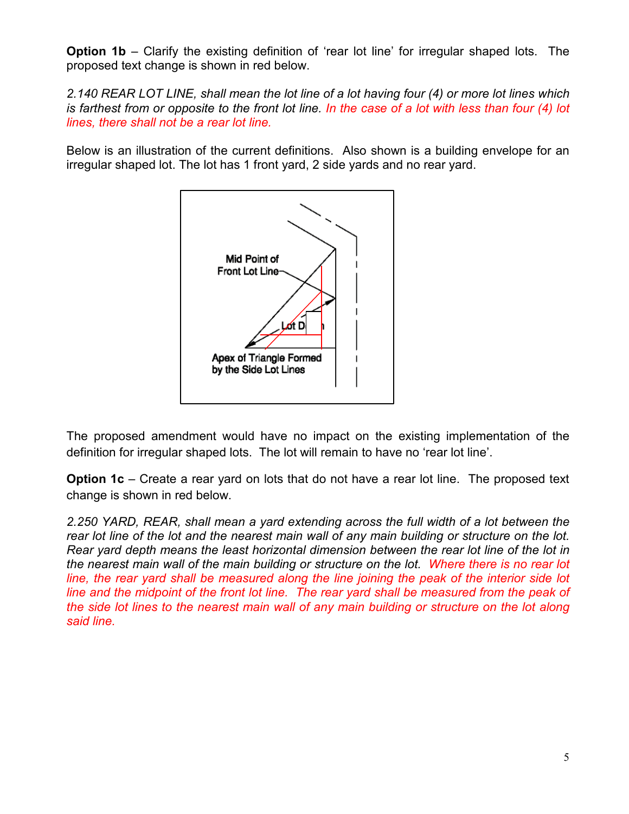**Option 1b** – Clarify the existing definition of 'rear lot line' for irregular shaped lots. The proposed text change is shown in red below.

*2.140 REAR LOT LINE, shall mean the lot line of a lot having four (4) or more lot lines which is farthest from or opposite to the front lot line. In the case of a lot with less than four (4) lot lines, there shall not be a rear lot line.*

Below is an illustration of the current definitions. Also shown is a building envelope for an irregular shaped lot. The lot has 1 front yard, 2 side yards and no rear yard.



The proposed amendment would have no impact on the existing implementation of the definition for irregular shaped lots. The lot will remain to have no 'rear lot line'.

**Option 1c** – Create a rear yard on lots that do not have a rear lot line. The proposed text change is shown in red below.

2.250 YARD, REAR, shall mean a yard extending across the full width of a lot between the *rear lot line of the lot and the nearest main wall of any main building or structure on the lot. Rear yard depth means the least horizontal dimension between the rear lot line of the lot in the nearest main wall of the main building or structure on the lot. Where there is no rear lot line, the rear yard shall be measured along the line joining the peak of the interior side lot line and the midpoint of the front lot line. The rear yard shall be measured from the peak of the side lot lines to the nearest main wall of any main building or structure on the lot along said line.*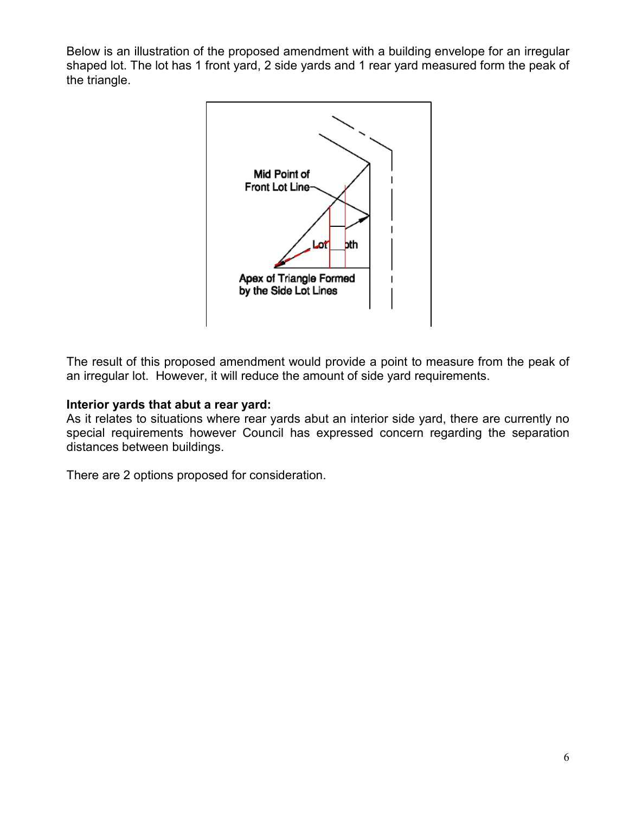Below is an illustration of the proposed amendment with a building envelope for an irregular shaped lot. The lot has 1 front yard, 2 side yards and 1 rear yard measured form the peak of the triangle.



The result of this proposed amendment would provide a point to measure from the peak of an irregular lot. However, it will reduce the amount of side yard requirements.

# **Interior yards that abut a rear yard:**

As it relates to situations where rear yards abut an interior side yard, there are currently no special requirements however Council has expressed concern regarding the separation distances between buildings.

There are 2 options proposed for consideration.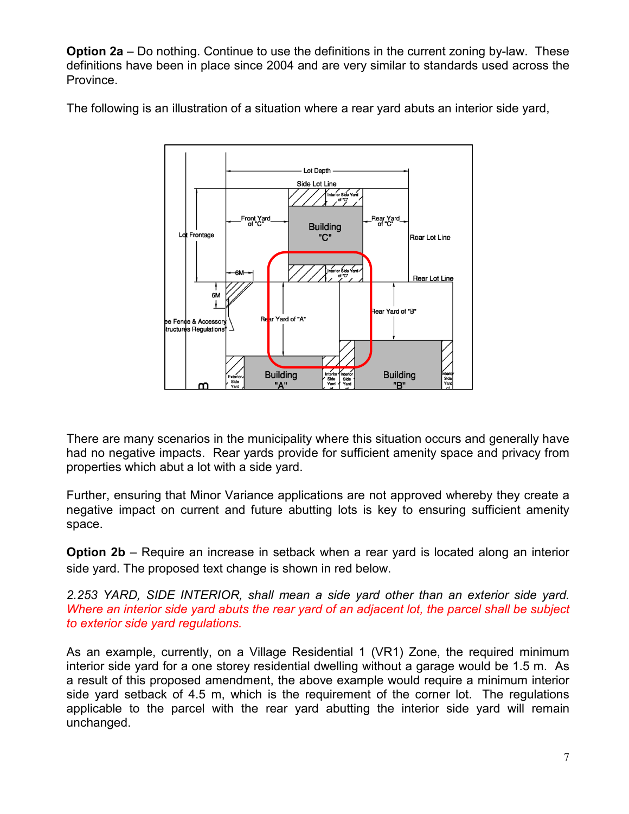**Option 2a** – Do nothing. Continue to use the definitions in the current zoning by-law. These definitions have been in place since 2004 and are very similar to standards used across the Province.



The following is an illustration of a situation where a rear yard abuts an interior side yard,

There are many scenarios in the municipality where this situation occurs and generally have had no negative impacts. Rear yards provide for sufficient amenity space and privacy from properties which abut a lot with a side yard.

Further, ensuring that Minor Variance applications are not approved whereby they create a negative impact on current and future abutting lots is key to ensuring sufficient amenity space.

**Option 2b** – Require an increase in setback when a rear yard is located along an interior side yard. The proposed text change is shown in red below.

*2.253 YARD, SIDE INTERIOR, shall mean a side yard other than an exterior side yard. Where an interior side yard abuts the rear yard of an adjacent lot, the parcel shall be subject to exterior side yard regulations.*

As an example, currently, on a Village Residential 1 (VR1) Zone, the required minimum interior side yard for a one storey residential dwelling without a garage would be 1.5 m. As a result of this proposed amendment, the above example would require a minimum interior side yard setback of 4.5 m, which is the requirement of the corner lot. The regulations applicable to the parcel with the rear yard abutting the interior side yard will remain unchanged.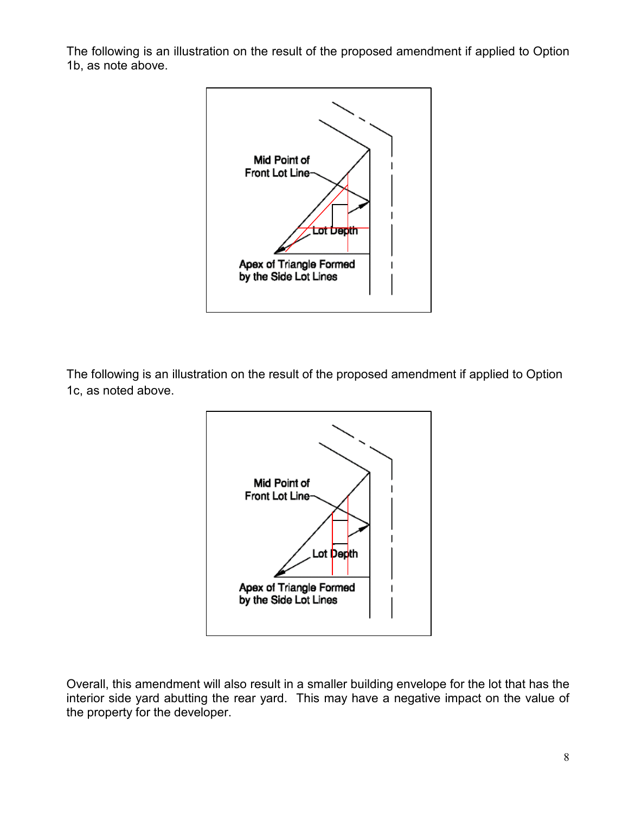The following is an illustration on the result of the proposed amendment if applied to Option 1b, as note above.



The following is an illustration on the result of the proposed amendment if applied to Option 1c, as noted above.



Overall, this amendment will also result in a smaller building envelope for the lot that has the interior side yard abutting the rear yard. This may have a negative impact on the value of the property for the developer.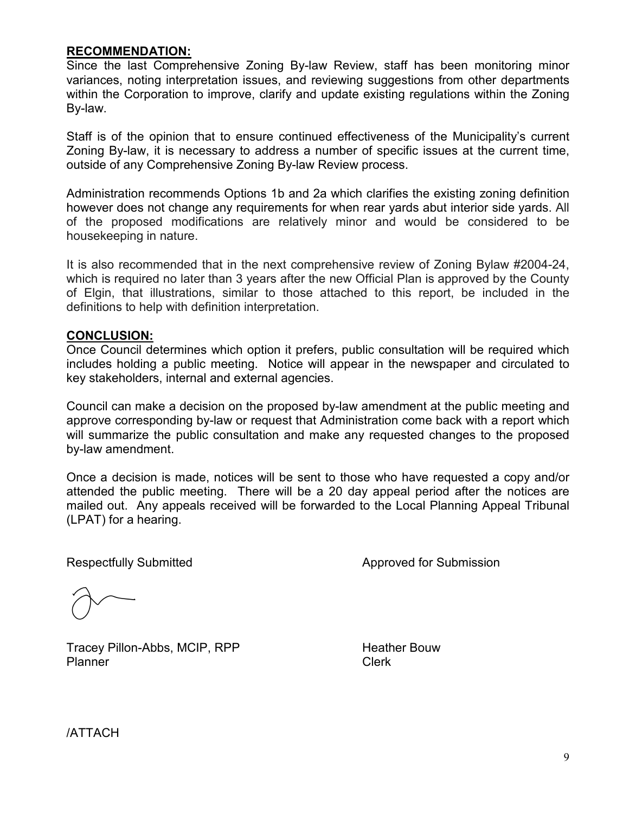#### **RECOMMENDATION:**

Since the last Comprehensive Zoning By-law Review, staff has been monitoring minor variances, noting interpretation issues, and reviewing suggestions from other departments within the Corporation to improve, clarify and update existing regulations within the Zoning By-law.

Staff is of the opinion that to ensure continued effectiveness of the Municipality's current Zoning By-law, it is necessary to address a number of specific issues at the current time, outside of any Comprehensive Zoning By-law Review process.

Administration recommends Options 1b and 2a which clarifies the existing zoning definition however does not change any requirements for when rear yards abut interior side yards. All of the proposed modifications are relatively minor and would be considered to be housekeeping in nature.

It is also recommended that in the next comprehensive review of Zoning Bylaw #2004-24, which is required no later than 3 years after the new Official Plan is approved by the County of Elgin, that illustrations, similar to those attached to this report, be included in the definitions to help with definition interpretation.

### **CONCLUSION:**

Once Council determines which option it prefers, public consultation will be required which includes holding a public meeting. Notice will appear in the newspaper and circulated to key stakeholders, internal and external agencies.

Council can make a decision on the proposed by-law amendment at the public meeting and approve corresponding by-law or request that Administration come back with a report which will summarize the public consultation and make any requested changes to the proposed by-law amendment.

Once a decision is made, notices will be sent to those who have requested a copy and/or attended the public meeting. There will be a 20 day appeal period after the notices are mailed out. Any appeals received will be forwarded to the Local Planning Appeal Tribunal (LPAT) for a hearing.

Respectfully Submitted **Approved for Submission** 

Tracey Pillon-Abbs, MCIP, RPP Heather Bouw Planner Clerk

/ATTACH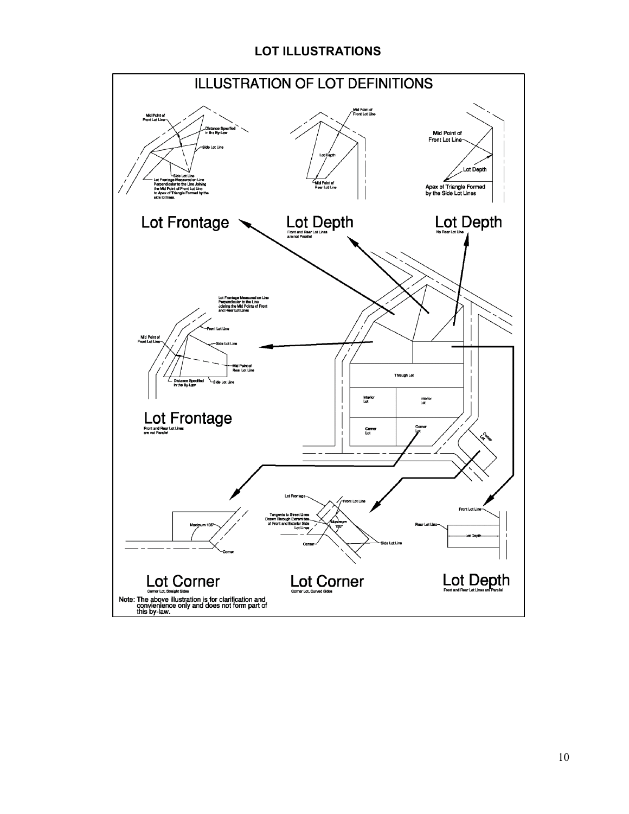# **LOT ILLUSTRATIONS**